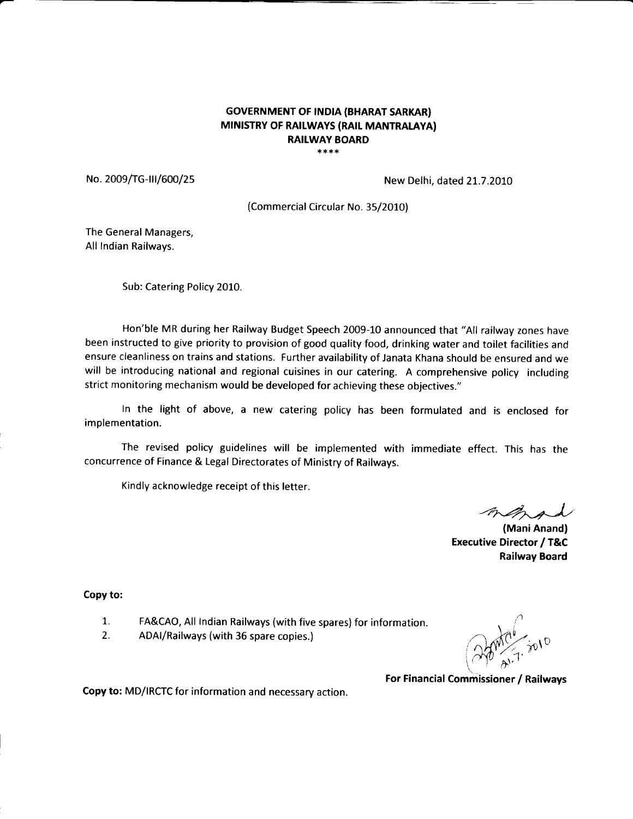#### **GOVERNMENT OF INDIA (BHARAT SARKAR)** MINISTRY OF RAILWAYS (RAIL MANTRALAYA) **RAILWAY BOARD** \*\*\*\*

No. 2009/TG-III/600/25 No. 2009/TG-III/600/25

(Commercial Circular No. 35/2010)

The General Managers, All Indian Railways.

Sub: Catering Policy 2010.

Hon'ble MR during her Railway Budget Speech 2009-10 announced that "All railway zones have been instructed to give priority to provision of good quality food, drinking water and toilet facilities and ensure cleanliness on trains and stations. Further availability of Janata Khana should be ensured and we will be introducing national and regional cuisines in our catering. A comprehensive policy including strict monitoring mechanism would be developed for achieving these objectives."

In the light of above, a new catering policy has been formulated and is enclosed for implementation.

The revised policy guidelines will be implemented with immediate effect. This has the concurrence of Finance & Legal Directorates of Ministry of Railways.

Kindly acknowledge receipt of this letter.

4",2-At-J/

(Mani Anand) **Executive Director / T&C** Railway Board

Copy to:

- 1. FA&CAO, All Indian Railways (with five spares) for information.
- 2. ADAI/Railways (with 36 spare copies.)

i \  $\bigcap_{n\in\mathbb{N}}\mathcal{N}^{\nu}$ .  $\bigcap_{n=1}^{\infty}$   $\bigcap_{n=1}^{\infty}$  $1.40 \times 10^{-11}$  $\sqrt{2}$ 

For Financial Commissioner / Railways

Copy to: MD/IRCTC for information and necessary action.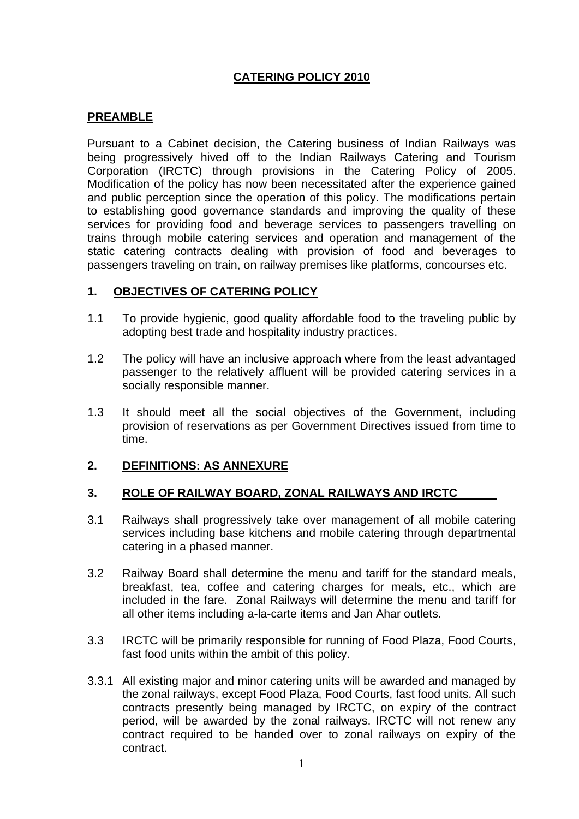# **CATERING POLICY 2010**

### **PREAMBLE**

Pursuant to a Cabinet decision, the Catering business of Indian Railways was being progressively hived off to the Indian Railways Catering and Tourism Corporation (IRCTC) through provisions in the Catering Policy of 2005. Modification of the policy has now been necessitated after the experience gained and public perception since the operation of this policy. The modifications pertain to establishing good governance standards and improving the quality of these services for providing food and beverage services to passengers travelling on trains through mobile catering services and operation and management of the static catering contracts dealing with provision of food and beverages to passengers traveling on train, on railway premises like platforms, concourses etc.

### **1. OBJECTIVES OF CATERING POLICY**

- 1.1 To provide hygienic, good quality affordable food to the traveling public by adopting best trade and hospitality industry practices.
- 1.2 The policy will have an inclusive approach where from the least advantaged passenger to the relatively affluent will be provided catering services in a socially responsible manner.
- 1.3 It should meet all the social objectives of the Government, including provision of reservations as per Government Directives issued from time to time.

### **2. DEFINITIONS: AS ANNEXURE**

### **3. ROLE OF RAILWAY BOARD, ZONAL RAILWAYS AND IRCTC**

- 3.1 Railways shall progressively take over management of all mobile catering services including base kitchens and mobile catering through departmental catering in a phased manner.
- 3.2 Railway Board shall determine the menu and tariff for the standard meals, breakfast, tea, coffee and catering charges for meals, etc., which are included in the fare. Zonal Railways will determine the menu and tariff for all other items including a-la-carte items and Jan Ahar outlets.
- 3.3 IRCTC will be primarily responsible for running of Food Plaza, Food Courts, fast food units within the ambit of this policy.
- 3.3.1 All existing major and minor catering units will be awarded and managed by the zonal railways, except Food Plaza, Food Courts, fast food units. All such contracts presently being managed by IRCTC, on expiry of the contract period, will be awarded by the zonal railways. IRCTC will not renew any contract required to be handed over to zonal railways on expiry of the contract.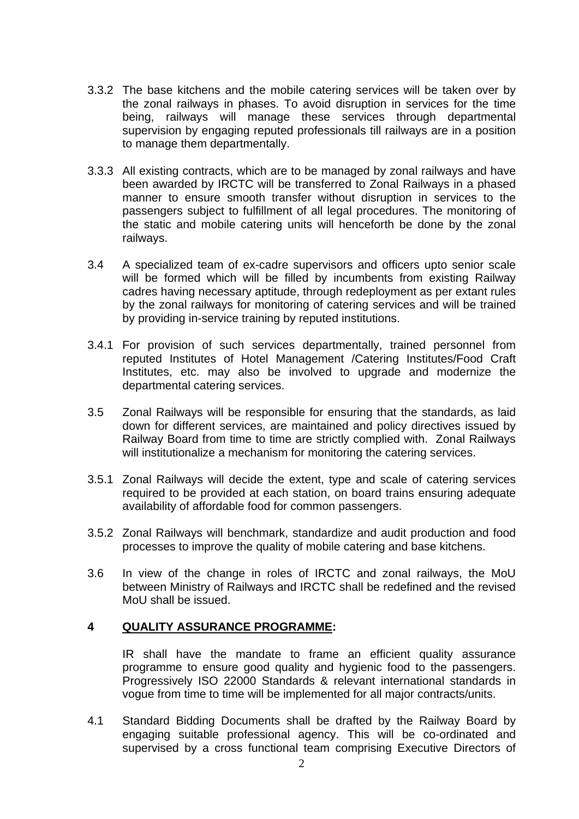- 3.3.2 The base kitchens and the mobile catering services will be taken over by the zonal railways in phases. To avoid disruption in services for the time being, railways will manage these services through departmental supervision by engaging reputed professionals till railways are in a position to manage them departmentally.
- 3.3.3 All existing contracts, which are to be managed by zonal railways and have been awarded by IRCTC will be transferred to Zonal Railways in a phased manner to ensure smooth transfer without disruption in services to the passengers subject to fulfillment of all legal procedures. The monitoring of the static and mobile catering units will henceforth be done by the zonal railways.
- 3.4 A specialized team of ex-cadre supervisors and officers upto senior scale will be formed which will be filled by incumbents from existing Railway cadres having necessary aptitude, through redeployment as per extant rules by the zonal railways for monitoring of catering services and will be trained by providing in-service training by reputed institutions.
- 3.4.1 For provision of such services departmentally, trained personnel from reputed Institutes of Hotel Management /Catering Institutes/Food Craft Institutes, etc. may also be involved to upgrade and modernize the departmental catering services.
- 3.5 Zonal Railways will be responsible for ensuring that the standards, as laid down for different services, are maintained and policy directives issued by Railway Board from time to time are strictly complied with. Zonal Railways will institutionalize a mechanism for monitoring the catering services.
- 3.5.1 Zonal Railways will decide the extent, type and scale of catering services required to be provided at each station, on board trains ensuring adequate availability of affordable food for common passengers.
- 3.5.2 Zonal Railways will benchmark, standardize and audit production and food processes to improve the quality of mobile catering and base kitchens.
- 3.6 In view of the change in roles of IRCTC and zonal railways, the MoU between Ministry of Railways and IRCTC shall be redefined and the revised MoU shall be issued.

### **4 QUALITY ASSURANCE PROGRAMME:**

IR shall have the mandate to frame an efficient quality assurance programme to ensure good quality and hygienic food to the passengers. Progressively ISO 22000 Standards & relevant international standards in vogue from time to time will be implemented for all major contracts/units.

4.1 Standard Bidding Documents shall be drafted by the Railway Board by engaging suitable professional agency. This will be co-ordinated and supervised by a cross functional team comprising Executive Directors of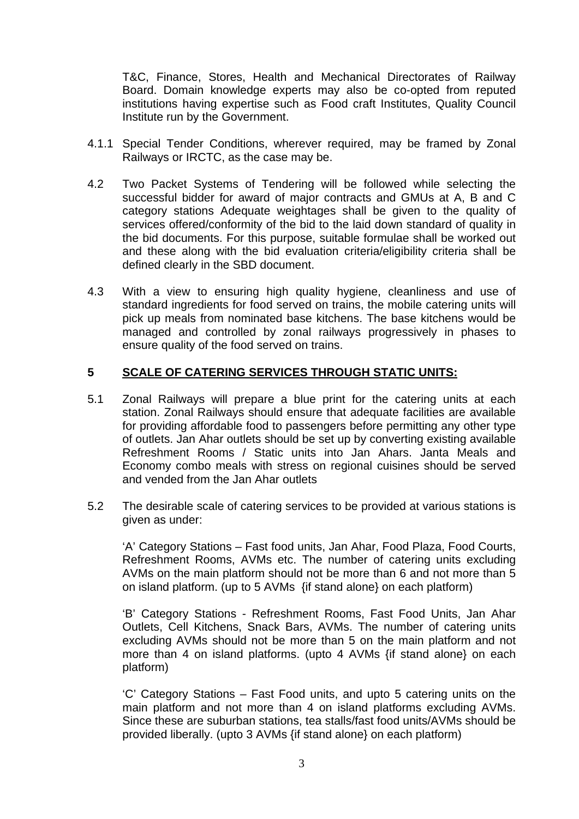T&C, Finance, Stores, Health and Mechanical Directorates of Railway Board. Domain knowledge experts may also be co-opted from reputed institutions having expertise such as Food craft Institutes, Quality Council Institute run by the Government.

- 4.1.1 Special Tender Conditions, wherever required, may be framed by Zonal Railways or IRCTC, as the case may be.
- 4.2 Two Packet Systems of Tendering will be followed while selecting the successful bidder for award of major contracts and GMUs at A, B and C category stations Adequate weightages shall be given to the quality of services offered/conformity of the bid to the laid down standard of quality in the bid documents. For this purpose, suitable formulae shall be worked out and these along with the bid evaluation criteria/eligibility criteria shall be defined clearly in the SBD document.
- 4.3 With a view to ensuring high quality hygiene, cleanliness and use of standard ingredients for food served on trains, the mobile catering units will pick up meals from nominated base kitchens. The base kitchens would be managed and controlled by zonal railways progressively in phases to ensure quality of the food served on trains.

### **5 SCALE OF CATERING SERVICES THROUGH STATIC UNITS:**

- 5.1 Zonal Railways will prepare a blue print for the catering units at each station. Zonal Railways should ensure that adequate facilities are available for providing affordable food to passengers before permitting any other type of outlets. Jan Ahar outlets should be set up by converting existing available Refreshment Rooms / Static units into Jan Ahars. Janta Meals and Economy combo meals with stress on regional cuisines should be served and vended from the Jan Ahar outlets
- 5.2 The desirable scale of catering services to be provided at various stations is given as under:

'A' Category Stations – Fast food units, Jan Ahar, Food Plaza, Food Courts, Refreshment Rooms, AVMs etc. The number of catering units excluding AVMs on the main platform should not be more than 6 and not more than 5 on island platform. (up to 5 AVMs {if stand alone} on each platform)

'B' Category Stations - Refreshment Rooms, Fast Food Units, Jan Ahar Outlets, Cell Kitchens, Snack Bars, AVMs. The number of catering units excluding AVMs should not be more than 5 on the main platform and not more than 4 on island platforms. (upto 4 AVMs {if stand alone} on each platform)

'C' Category Stations – Fast Food units, and upto 5 catering units on the main platform and not more than 4 on island platforms excluding AVMs. Since these are suburban stations, tea stalls/fast food units/AVMs should be provided liberally. (upto 3 AVMs {if stand alone} on each platform)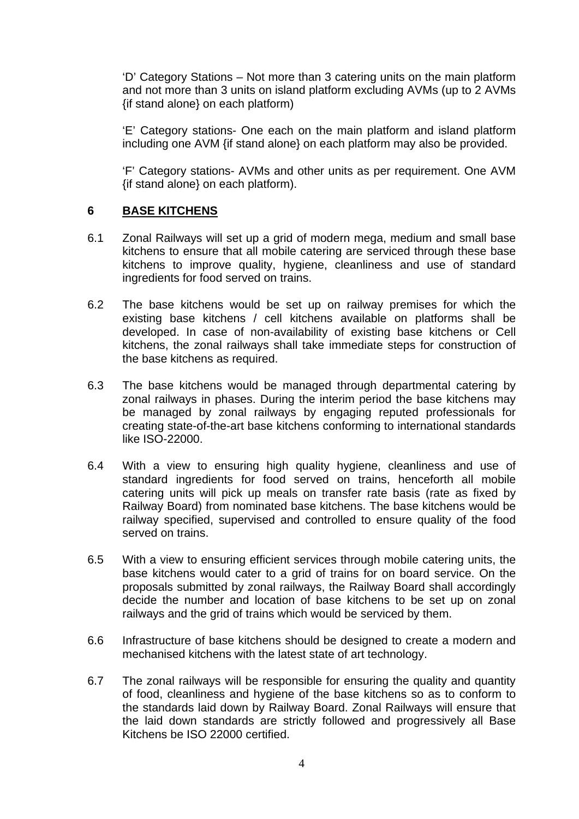'D' Category Stations – Not more than 3 catering units on the main platform and not more than 3 units on island platform excluding AVMs (up to 2 AVMs {if stand alone} on each platform)

'E' Category stations- One each on the main platform and island platform including one AVM {if stand alone} on each platform may also be provided.

'F' Category stations- AVMs and other units as per requirement. One AVM {if stand alone} on each platform).

### **6 BASE KITCHENS**

- 6.1 Zonal Railways will set up a grid of modern mega, medium and small base kitchens to ensure that all mobile catering are serviced through these base kitchens to improve quality, hygiene, cleanliness and use of standard ingredients for food served on trains.
- 6.2 The base kitchens would be set up on railway premises for which the existing base kitchens / cell kitchens available on platforms shall be developed. In case of non-availability of existing base kitchens or Cell kitchens, the zonal railways shall take immediate steps for construction of the base kitchens as required.
- 6.3 The base kitchens would be managed through departmental catering by zonal railways in phases. During the interim period the base kitchens may be managed by zonal railways by engaging reputed professionals for creating state-of-the-art base kitchens conforming to international standards like ISO-22000.
- 6.4 With a view to ensuring high quality hygiene, cleanliness and use of standard ingredients for food served on trains, henceforth all mobile catering units will pick up meals on transfer rate basis (rate as fixed by Railway Board) from nominated base kitchens. The base kitchens would be railway specified, supervised and controlled to ensure quality of the food served on trains.
- 6.5 With a view to ensuring efficient services through mobile catering units, the base kitchens would cater to a grid of trains for on board service. On the proposals submitted by zonal railways, the Railway Board shall accordingly decide the number and location of base kitchens to be set up on zonal railways and the grid of trains which would be serviced by them.
- 6.6 Infrastructure of base kitchens should be designed to create a modern and mechanised kitchens with the latest state of art technology.
- 6.7 The zonal railways will be responsible for ensuring the quality and quantity of food, cleanliness and hygiene of the base kitchens so as to conform to the standards laid down by Railway Board. Zonal Railways will ensure that the laid down standards are strictly followed and progressively all Base Kitchens be ISO 22000 certified.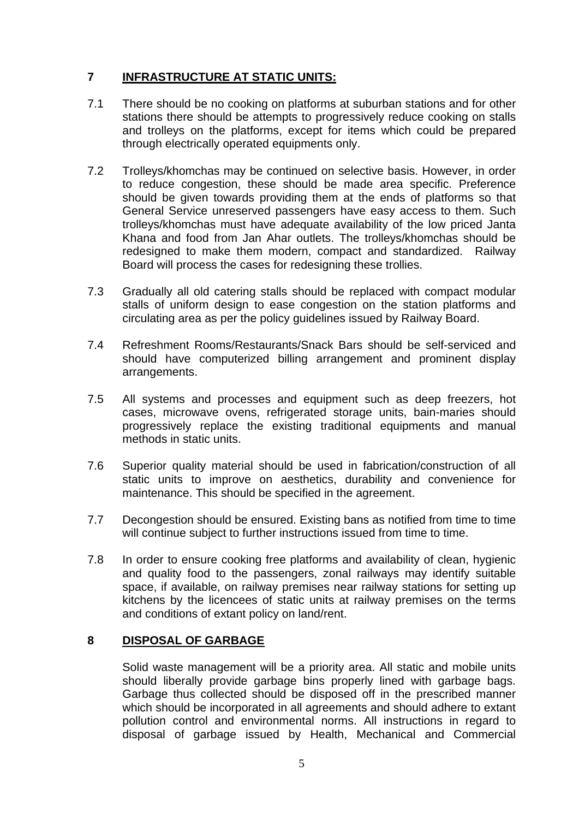# **7 INFRASTRUCTURE AT STATIC UNITS:**

- 7.1 There should be no cooking on platforms at suburban stations and for other stations there should be attempts to progressively reduce cooking on stalls and trolleys on the platforms, except for items which could be prepared through electrically operated equipments only.
- 7.2 Trolleys/khomchas may be continued on selective basis. However, in order to reduce congestion, these should be made area specific. Preference should be given towards providing them at the ends of platforms so that General Service unreserved passengers have easy access to them. Such trolleys/khomchas must have adequate availability of the low priced Janta Khana and food from Jan Ahar outlets. The trolleys/khomchas should be redesigned to make them modern, compact and standardized. Railway Board will process the cases for redesigning these trollies.
- 7.3 Gradually all old catering stalls should be replaced with compact modular stalls of uniform design to ease congestion on the station platforms and circulating area as per the policy guidelines issued by Railway Board.
- 7.4 Refreshment Rooms/Restaurants/Snack Bars should be self-serviced and should have computerized billing arrangement and prominent display arrangements.
- 7.5 All systems and processes and equipment such as deep freezers, hot cases, microwave ovens, refrigerated storage units, bain-maries should progressively replace the existing traditional equipments and manual methods in static units.
- 7.6 Superior quality material should be used in fabrication/construction of all static units to improve on aesthetics, durability and convenience for maintenance. This should be specified in the agreement.
- 7.7 Decongestion should be ensured. Existing bans as notified from time to time will continue subject to further instructions issued from time to time.
- 7.8 In order to ensure cooking free platforms and availability of clean, hygienic and quality food to the passengers, zonal railways may identify suitable space, if available, on railway premises near railway stations for setting up kitchens by the licencees of static units at railway premises on the terms and conditions of extant policy on land/rent.

### **8 DISPOSAL OF GARBAGE**

Solid waste management will be a priority area. All static and mobile units should liberally provide garbage bins properly lined with garbage bags. Garbage thus collected should be disposed off in the prescribed manner which should be incorporated in all agreements and should adhere to extant pollution control and environmental norms. All instructions in regard to disposal of garbage issued by Health, Mechanical and Commercial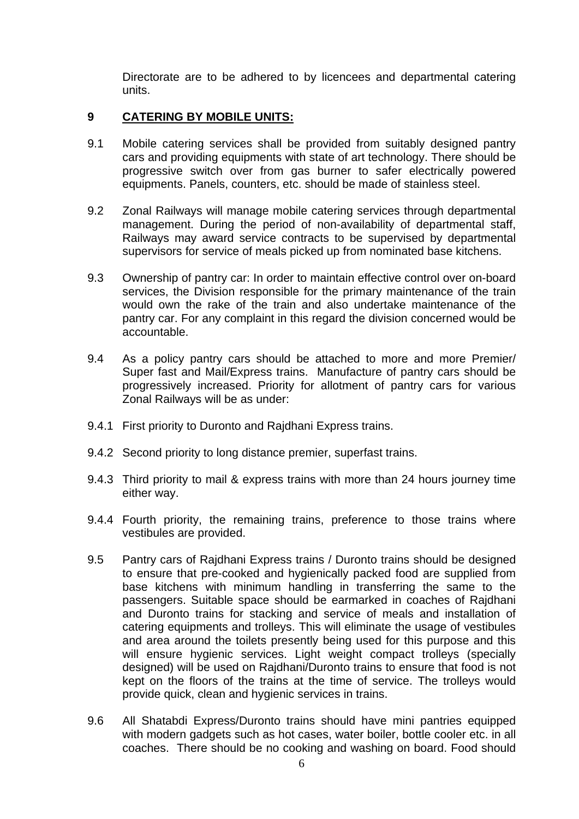Directorate are to be adhered to by licencees and departmental catering units.

### **9 CATERING BY MOBILE UNITS:**

- 9.1 Mobile catering services shall be provided from suitably designed pantry cars and providing equipments with state of art technology. There should be progressive switch over from gas burner to safer electrically powered equipments. Panels, counters, etc. should be made of stainless steel.
- 9.2 Zonal Railways will manage mobile catering services through departmental management. During the period of non-availability of departmental staff, Railways may award service contracts to be supervised by departmental supervisors for service of meals picked up from nominated base kitchens.
- 9.3 Ownership of pantry car: In order to maintain effective control over on-board services, the Division responsible for the primary maintenance of the train would own the rake of the train and also undertake maintenance of the pantry car. For any complaint in this regard the division concerned would be accountable.
- 9.4 As a policy pantry cars should be attached to more and more Premier/ Super fast and Mail/Express trains. Manufacture of pantry cars should be progressively increased. Priority for allotment of pantry cars for various Zonal Railways will be as under:
- 9.4.1 First priority to Duronto and Rajdhani Express trains.
- 9.4.2 Second priority to long distance premier, superfast trains.
- 9.4.3 Third priority to mail & express trains with more than 24 hours journey time either way.
- 9.4.4 Fourth priority, the remaining trains, preference to those trains where vestibules are provided.
- 9.5 Pantry cars of Rajdhani Express trains / Duronto trains should be designed to ensure that pre-cooked and hygienically packed food are supplied from base kitchens with minimum handling in transferring the same to the passengers. Suitable space should be earmarked in coaches of Rajdhani and Duronto trains for stacking and service of meals and installation of catering equipments and trolleys. This will eliminate the usage of vestibules and area around the toilets presently being used for this purpose and this will ensure hygienic services. Light weight compact trolleys (specially designed) will be used on Rajdhani/Duronto trains to ensure that food is not kept on the floors of the trains at the time of service. The trolleys would provide quick, clean and hygienic services in trains.
- 9.6 All Shatabdi Express/Duronto trains should have mini pantries equipped with modern gadgets such as hot cases, water boiler, bottle cooler etc. in all coaches. There should be no cooking and washing on board. Food should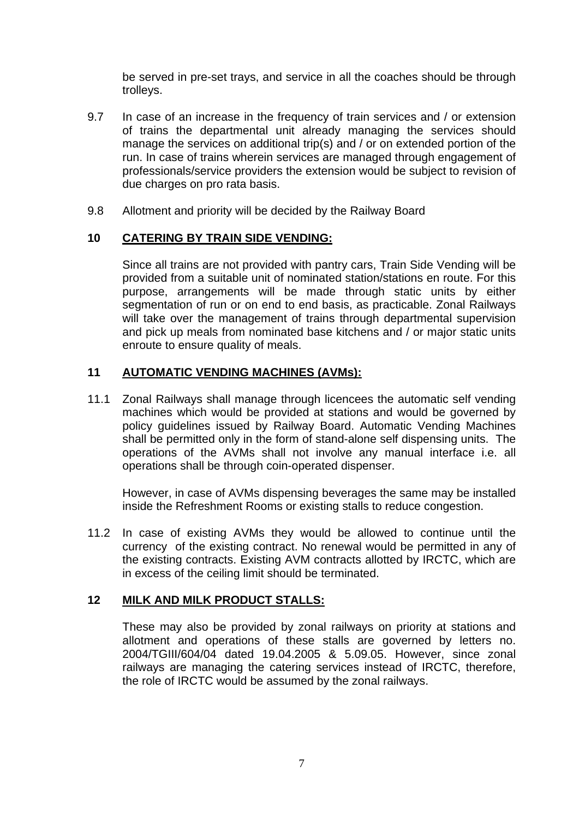be served in pre-set trays, and service in all the coaches should be through trolleys.

- 9.7 In case of an increase in the frequency of train services and / or extension of trains the departmental unit already managing the services should manage the services on additional trip(s) and / or on extended portion of the run. In case of trains wherein services are managed through engagement of professionals/service providers the extension would be subject to revision of due charges on pro rata basis.
- 9.8 Allotment and priority will be decided by the Railway Board

### **10 CATERING BY TRAIN SIDE VENDING:**

Since all trains are not provided with pantry cars, Train Side Vending will be provided from a suitable unit of nominated station/stations en route. For this purpose, arrangements will be made through static units by either segmentation of run or on end to end basis, as practicable. Zonal Railways will take over the management of trains through departmental supervision and pick up meals from nominated base kitchens and / or major static units enroute to ensure quality of meals.

### **11 AUTOMATIC VENDING MACHINES (AVMs):**

11.1 Zonal Railways shall manage through licencees the automatic self vending machines which would be provided at stations and would be governed by policy guidelines issued by Railway Board. Automatic Vending Machines shall be permitted only in the form of stand-alone self dispensing units. The operations of the AVMs shall not involve any manual interface i.e. all operations shall be through coin-operated dispenser.

However, in case of AVMs dispensing beverages the same may be installed inside the Refreshment Rooms or existing stalls to reduce congestion.

11.2 In case of existing AVMs they would be allowed to continue until the currency of the existing contract. No renewal would be permitted in any of the existing contracts. Existing AVM contracts allotted by IRCTC, which are in excess of the ceiling limit should be terminated.

### **12 MILK AND MILK PRODUCT STALLS:**

These may also be provided by zonal railways on priority at stations and allotment and operations of these stalls are governed by letters no. 2004/TGIII/604/04 dated 19.04.2005 & 5.09.05. However, since zonal railways are managing the catering services instead of IRCTC, therefore, the role of IRCTC would be assumed by the zonal railways.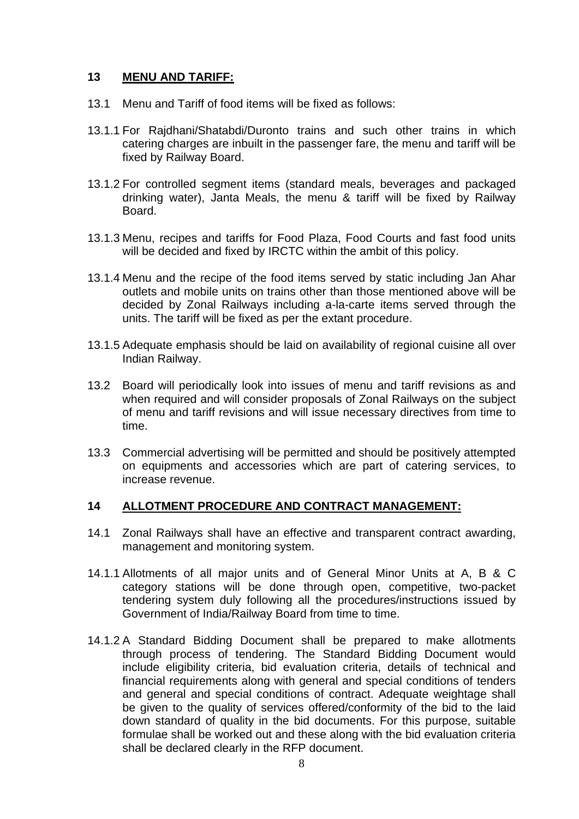## **13 MENU AND TARIFF:**

- 13.1 Menu and Tariff of food items will be fixed as follows:
- 13.1.1 For Rajdhani/Shatabdi/Duronto trains and such other trains in which catering charges are inbuilt in the passenger fare, the menu and tariff will be fixed by Railway Board.
- 13.1.2 For controlled segment items (standard meals, beverages and packaged drinking water), Janta Meals, the menu & tariff will be fixed by Railway Board.
- 13.1.3 Menu, recipes and tariffs for Food Plaza, Food Courts and fast food units will be decided and fixed by IRCTC within the ambit of this policy.
- 13.1.4 Menu and the recipe of the food items served by static including Jan Ahar outlets and mobile units on trains other than those mentioned above will be decided by Zonal Railways including a-la-carte items served through the units. The tariff will be fixed as per the extant procedure.
- 13.1.5 Adequate emphasis should be laid on availability of regional cuisine all over Indian Railway.
- 13.2 Board will periodically look into issues of menu and tariff revisions as and when required and will consider proposals of Zonal Railways on the subject of menu and tariff revisions and will issue necessary directives from time to time.
- 13.3 Commercial advertising will be permitted and should be positively attempted on equipments and accessories which are part of catering services, to increase revenue.

### **14 ALLOTMENT PROCEDURE AND CONTRACT MANAGEMENT:**

- 14.1 Zonal Railways shall have an effective and transparent contract awarding, management and monitoring system.
- 14.1.1 Allotments of all major units and of General Minor Units at A, B & C category stations will be done through open, competitive, two-packet tendering system duly following all the procedures/instructions issued by Government of India/Railway Board from time to time.
- 14.1.2 A Standard Bidding Document shall be prepared to make allotments through process of tendering. The Standard Bidding Document would include eligibility criteria, bid evaluation criteria, details of technical and financial requirements along with general and special conditions of tenders and general and special conditions of contract. Adequate weightage shall be given to the quality of services offered/conformity of the bid to the laid down standard of quality in the bid documents. For this purpose, suitable formulae shall be worked out and these along with the bid evaluation criteria shall be declared clearly in the RFP document.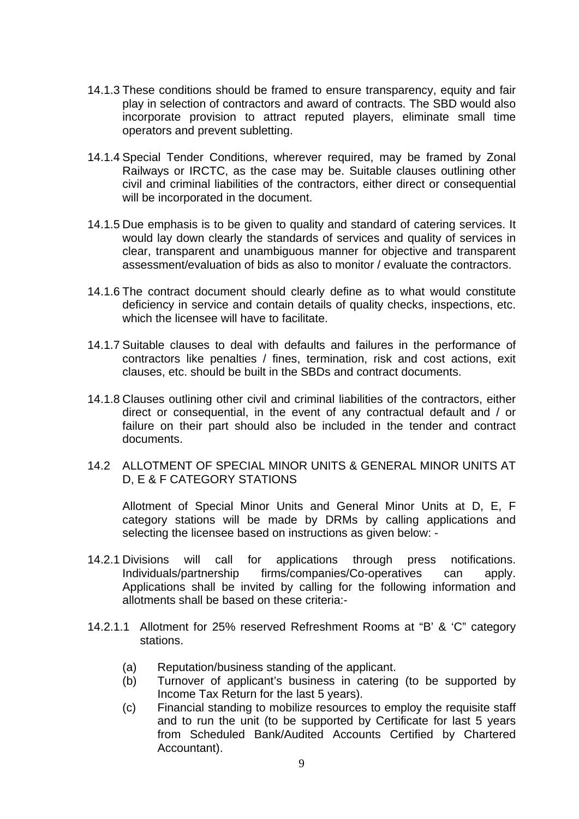- 14.1.3 These conditions should be framed to ensure transparency, equity and fair play in selection of contractors and award of contracts. The SBD would also incorporate provision to attract reputed players, eliminate small time operators and prevent subletting.
- 14.1.4 Special Tender Conditions, wherever required, may be framed by Zonal Railways or IRCTC, as the case may be. Suitable clauses outlining other civil and criminal liabilities of the contractors, either direct or consequential will be incorporated in the document.
- 14.1.5 Due emphasis is to be given to quality and standard of catering services. It would lay down clearly the standards of services and quality of services in clear, transparent and unambiguous manner for objective and transparent assessment/evaluation of bids as also to monitor / evaluate the contractors.
- 14.1.6 The contract document should clearly define as to what would constitute deficiency in service and contain details of quality checks, inspections, etc. which the licensee will have to facilitate.
- 14.1.7 Suitable clauses to deal with defaults and failures in the performance of contractors like penalties / fines, termination, risk and cost actions, exit clauses, etc. should be built in the SBDs and contract documents.
- 14.1.8 Clauses outlining other civil and criminal liabilities of the contractors, either direct or consequential, in the event of any contractual default and / or failure on their part should also be included in the tender and contract documents.
- 14.2 ALLOTMENT OF SPECIAL MINOR UNITS & GENERAL MINOR UNITS AT D, E & F CATEGORY STATIONS

Allotment of Special Minor Units and General Minor Units at D, E, F category stations will be made by DRMs by calling applications and selecting the licensee based on instructions as given below: -

- 14.2.1 Divisions will call for applications through press notifications. Individuals/partnership firms/companies/Co-operatives can apply. Applications shall be invited by calling for the following information and allotments shall be based on these criteria:-
- 14.2.1.1 Allotment for 25% reserved Refreshment Rooms at "B' & 'C" category stations.
	- (a) Reputation/business standing of the applicant.
	- (b) Turnover of applicant's business in catering (to be supported by Income Tax Return for the last 5 years).
	- (c) Financial standing to mobilize resources to employ the requisite staff and to run the unit (to be supported by Certificate for last 5 years from Scheduled Bank/Audited Accounts Certified by Chartered Accountant).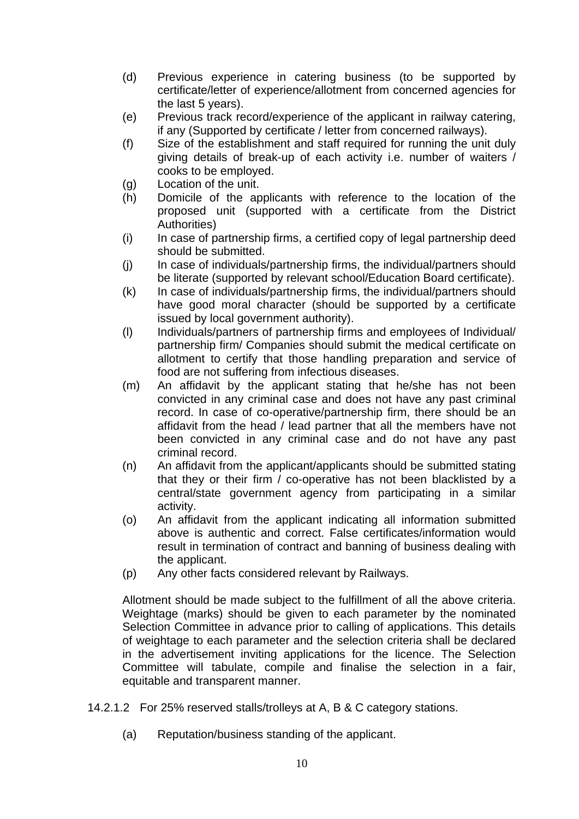- (d) Previous experience in catering business (to be supported by certificate/letter of experience/allotment from concerned agencies for the last 5 years).
- (e) Previous track record/experience of the applicant in railway catering, if any (Supported by certificate / letter from concerned railways).
- (f) Size of the establishment and staff required for running the unit duly giving details of break-up of each activity i.e. number of waiters / cooks to be employed.
- (g) Location of the unit.
- (h) Domicile of the applicants with reference to the location of the proposed unit (supported with a certificate from the District Authorities)
- (i) In case of partnership firms, a certified copy of legal partnership deed should be submitted.
- (j) In case of individuals/partnership firms, the individual/partners should be literate (supported by relevant school/Education Board certificate).
- (k) In case of individuals/partnership firms, the individual/partners should have good moral character (should be supported by a certificate issued by local government authority).
- (l) Individuals/partners of partnership firms and employees of Individual/ partnership firm/ Companies should submit the medical certificate on allotment to certify that those handling preparation and service of food are not suffering from infectious diseases.
- (m) An affidavit by the applicant stating that he/she has not been convicted in any criminal case and does not have any past criminal record. In case of co-operative/partnership firm, there should be an affidavit from the head / lead partner that all the members have not been convicted in any criminal case and do not have any past criminal record.
- (n) An affidavit from the applicant/applicants should be submitted stating that they or their firm / co-operative has not been blacklisted by a central/state government agency from participating in a similar activity.
- (o) An affidavit from the applicant indicating all information submitted above is authentic and correct. False certificates/information would result in termination of contract and banning of business dealing with the applicant.
- (p) Any other facts considered relevant by Railways.

Allotment should be made subject to the fulfillment of all the above criteria. Weightage (marks) should be given to each parameter by the nominated Selection Committee in advance prior to calling of applications. This details of weightage to each parameter and the selection criteria shall be declared in the advertisement inviting applications for the licence. The Selection Committee will tabulate, compile and finalise the selection in a fair, equitable and transparent manner.

14.2.1.2 For 25% reserved stalls/trolleys at A, B & C category stations.

(a) Reputation/business standing of the applicant.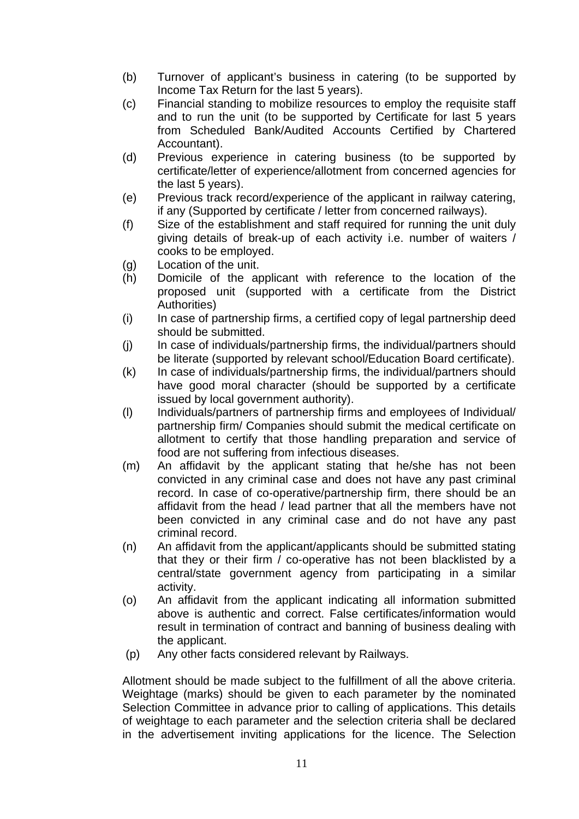- (b) Turnover of applicant's business in catering (to be supported by Income Tax Return for the last 5 years).
- (c) Financial standing to mobilize resources to employ the requisite staff and to run the unit (to be supported by Certificate for last 5 years from Scheduled Bank/Audited Accounts Certified by Chartered Accountant).
- (d) Previous experience in catering business (to be supported by certificate/letter of experience/allotment from concerned agencies for the last 5 years).
- (e) Previous track record/experience of the applicant in railway catering, if any (Supported by certificate / letter from concerned railways).
- (f) Size of the establishment and staff required for running the unit duly giving details of break-up of each activity i.e. number of waiters / cooks to be employed.
- (g) Location of the unit.
- (h) Domicile of the applicant with reference to the location of the proposed unit (supported with a certificate from the District Authorities)
- (i) In case of partnership firms, a certified copy of legal partnership deed should be submitted.
- (j) In case of individuals/partnership firms, the individual/partners should be literate (supported by relevant school/Education Board certificate).
- (k) In case of individuals/partnership firms, the individual/partners should have good moral character (should be supported by a certificate issued by local government authority).
- (l) Individuals/partners of partnership firms and employees of Individual/ partnership firm/ Companies should submit the medical certificate on allotment to certify that those handling preparation and service of food are not suffering from infectious diseases.
- (m) An affidavit by the applicant stating that he/she has not been convicted in any criminal case and does not have any past criminal record. In case of co-operative/partnership firm, there should be an affidavit from the head / lead partner that all the members have not been convicted in any criminal case and do not have any past criminal record.
- (n) An affidavit from the applicant/applicants should be submitted stating that they or their firm / co-operative has not been blacklisted by a central/state government agency from participating in a similar activity.
- (o) An affidavit from the applicant indicating all information submitted above is authentic and correct. False certificates/information would result in termination of contract and banning of business dealing with the applicant.
- (p) Any other facts considered relevant by Railways.

Allotment should be made subject to the fulfillment of all the above criteria. Weightage (marks) should be given to each parameter by the nominated Selection Committee in advance prior to calling of applications. This details of weightage to each parameter and the selection criteria shall be declared in the advertisement inviting applications for the licence. The Selection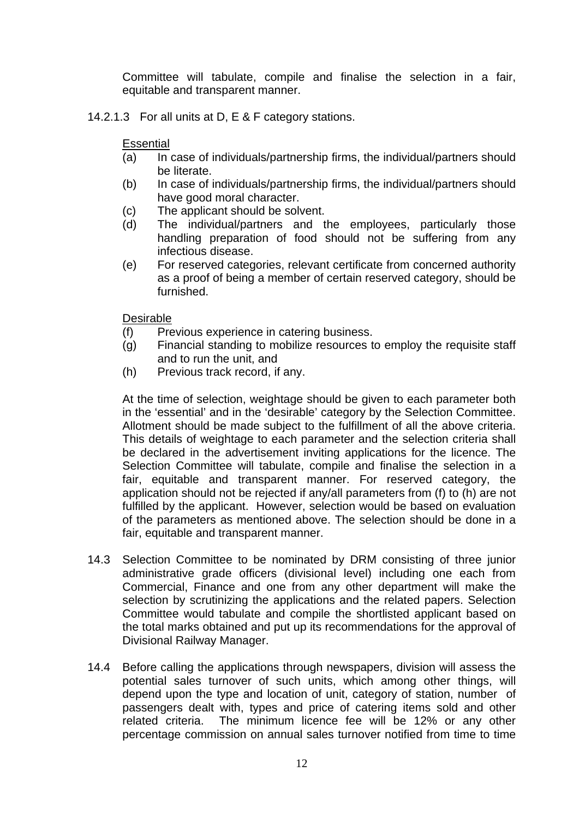Committee will tabulate, compile and finalise the selection in a fair, equitable and transparent manner.

14.2.1.3 For all units at D, E & F category stations.

#### **Essential**

- (a) In case of individuals/partnership firms, the individual/partners should be literate.
- (b) In case of individuals/partnership firms, the individual/partners should have good moral character.
- (c) The applicant should be solvent.
- (d) The individual/partners and the employees, particularly those handling preparation of food should not be suffering from any infectious disease.
- (e) For reserved categories, relevant certificate from concerned authority as a proof of being a member of certain reserved category, should be furnished.

### Desirable

- (f) Previous experience in catering business.
- (g) Financial standing to mobilize resources to employ the requisite staff and to run the unit, and
- (h) Previous track record, if any.

At the time of selection, weightage should be given to each parameter both in the 'essential' and in the 'desirable' category by the Selection Committee. Allotment should be made subject to the fulfillment of all the above criteria. This details of weightage to each parameter and the selection criteria shall be declared in the advertisement inviting applications for the licence. The Selection Committee will tabulate, compile and finalise the selection in a fair, equitable and transparent manner. For reserved category, the application should not be rejected if any/all parameters from (f) to (h) are not fulfilled by the applicant. However, selection would be based on evaluation of the parameters as mentioned above. The selection should be done in a fair, equitable and transparent manner.

- 14.3 Selection Committee to be nominated by DRM consisting of three junior administrative grade officers (divisional level) including one each from Commercial, Finance and one from any other department will make the selection by scrutinizing the applications and the related papers. Selection Committee would tabulate and compile the shortlisted applicant based on the total marks obtained and put up its recommendations for the approval of Divisional Railway Manager.
- 14.4 Before calling the applications through newspapers, division will assess the potential sales turnover of such units, which among other things, will depend upon the type and location of unit, category of station, number of passengers dealt with, types and price of catering items sold and other related criteria. The minimum licence fee will be 12% or any other percentage commission on annual sales turnover notified from time to time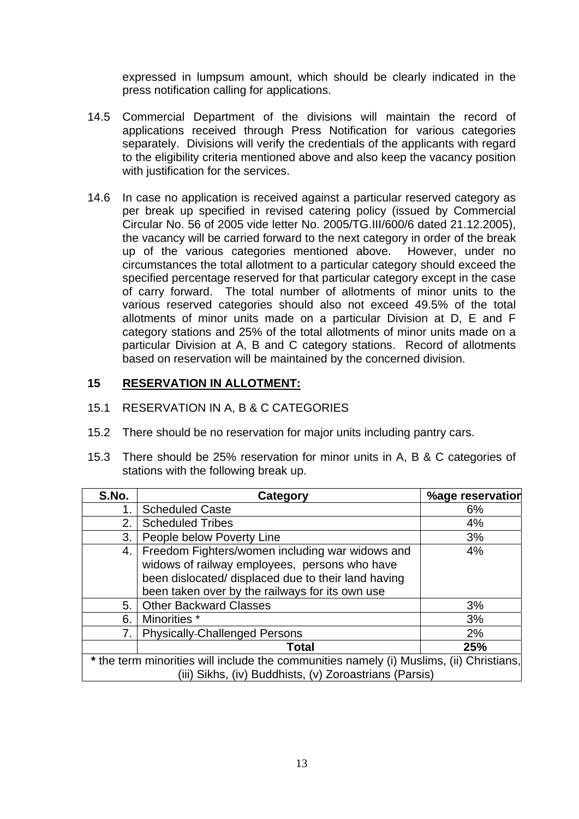expressed in lumpsum amount, which should be clearly indicated in the press notification calling for applications.

- 14.5 Commercial Department of the divisions will maintain the record of applications received through Press Notification for various categories separately. Divisions will verify the credentials of the applicants with regard to the eligibility criteria mentioned above and also keep the vacancy position with justification for the services.
- 14.6 In case no application is received against a particular reserved category as per break up specified in revised catering policy (issued by Commercial Circular No. 56 of 2005 vide letter No. 2005/TG.III/600/6 dated 21.12.2005), the vacancy will be carried forward to the next category in order of the break up of the various categories mentioned above. However, under no circumstances the total allotment to a particular category should exceed the specified percentage reserved for that particular category except in the case of carry forward. The total number of allotments of minor units to the various reserved categories should also not exceed 49.5% of the total allotments of minor units made on a particular Division at D, E and F category stations and 25% of the total allotments of minor units made on a particular Division at A, B and C category stations. Record of allotments based on reservation will be maintained by the concerned division.

### **15 RESERVATION IN ALLOTMENT:**

#### 15.1 RESERVATION IN A, B & C CATEGORIES

- 15.2 There should be no reservation for major units including pantry cars.
- 15.3 There should be 25% reservation for minor units in A, B & C categories of stations with the following break up.

| S.No.                                                                                                                                             | Category                                                                                                                                                                                                   | %age reservation |
|---------------------------------------------------------------------------------------------------------------------------------------------------|------------------------------------------------------------------------------------------------------------------------------------------------------------------------------------------------------------|------------------|
| 1.                                                                                                                                                | <b>Scheduled Caste</b>                                                                                                                                                                                     | 6%               |
| 2.                                                                                                                                                | <b>Scheduled Tribes</b>                                                                                                                                                                                    | 4%               |
| 3.                                                                                                                                                | People below Poverty Line                                                                                                                                                                                  | 3%               |
| 4.                                                                                                                                                | Freedom Fighters/women including war widows and<br>widows of railway employees, persons who have<br>been dislocated/ displaced due to their land having<br>been taken over by the railways for its own use | 4%               |
| 5.                                                                                                                                                | <b>Other Backward Classes</b>                                                                                                                                                                              | 3%               |
| 6.                                                                                                                                                | Minorities *                                                                                                                                                                                               | 3%               |
| 7.                                                                                                                                                | <b>Physically-Challenged Persons</b>                                                                                                                                                                       | 2%               |
|                                                                                                                                                   | <b>Total</b>                                                                                                                                                                                               | 25%              |
| * the term minorities will include the communities namely (i) Muslims, (ii) Christians,<br>(iii) Sikhs, (iv) Buddhists, (v) Zoroastrians (Parsis) |                                                                                                                                                                                                            |                  |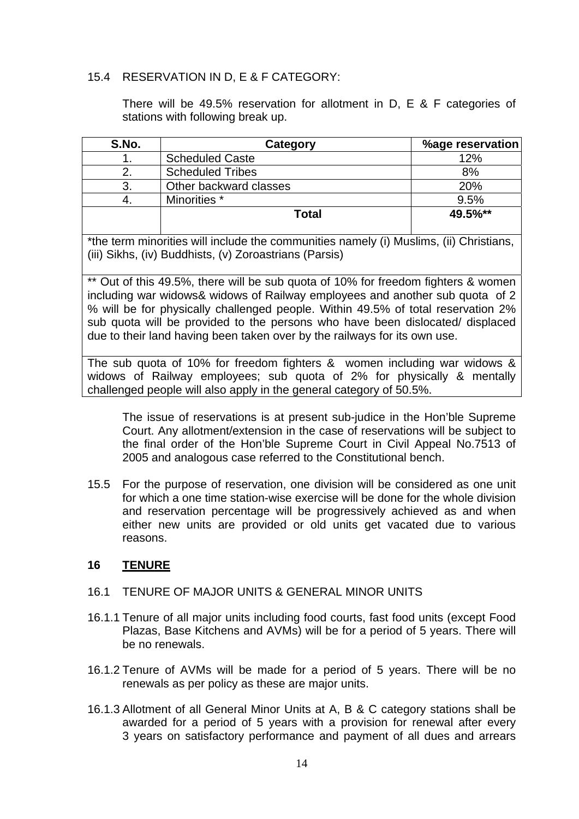### 15.4 RESERVATION IN D, E & F CATEGORY:

There will be 49.5% reservation for allotment in D, E & F categories of stations with following break up.

| S.No.                                                                                                                                                                                                                                                                                                                                                                                                                                                        | Category                                                                                                                                                                                                                         | %age reservation |
|--------------------------------------------------------------------------------------------------------------------------------------------------------------------------------------------------------------------------------------------------------------------------------------------------------------------------------------------------------------------------------------------------------------------------------------------------------------|----------------------------------------------------------------------------------------------------------------------------------------------------------------------------------------------------------------------------------|------------------|
|                                                                                                                                                                                                                                                                                                                                                                                                                                                              | <b>Scheduled Caste</b>                                                                                                                                                                                                           | 12%              |
|                                                                                                                                                                                                                                                                                                                                                                                                                                                              | <b>Scheduled Tribes</b>                                                                                                                                                                                                          | 8%               |
| 3                                                                                                                                                                                                                                                                                                                                                                                                                                                            | Other backward classes                                                                                                                                                                                                           | 20%              |
|                                                                                                                                                                                                                                                                                                                                                                                                                                                              | Minorities *                                                                                                                                                                                                                     | 9.5%             |
|                                                                                                                                                                                                                                                                                                                                                                                                                                                              | <b>Total</b>                                                                                                                                                                                                                     | 49.5%**          |
| $\mathbf{d} \cdot \mathbf{d} = \mathbf{d} \cdot \mathbf{d} + \mathbf{d} \cdot \mathbf{d} + \mathbf{d} \cdot \mathbf{d} + \mathbf{d} \cdot \mathbf{d} + \mathbf{d} \cdot \mathbf{d} + \mathbf{d} \cdot \mathbf{d} + \mathbf{d} \cdot \mathbf{d} + \mathbf{d} \cdot \mathbf{d} + \mathbf{d} \cdot \mathbf{d} + \mathbf{d} \cdot \mathbf{d} + \mathbf{d} \cdot \mathbf{d} + \mathbf{d} \cdot \mathbf{d} + \mathbf{d} \cdot \mathbf{d} + \mathbf{d} \cdot \math$ | $\mathbf{u}$ , and the set of the set of the set of the set of the set of the set of the set of the set of the set of the set of the set of the set of the set of the set of the set of the set of the set of the set of the set |                  |

\*the term minorities will include the communities namely (i) Muslims, (ii) Christians, (iii) Sikhs, (iv) Buddhists, (v) Zoroastrians (Parsis)

\*\* Out of this 49.5%, there will be sub quota of 10% for freedom fighters & women including war widows& widows of Railway employees and another sub quota of 2 % will be for physically challenged people. Within 49.5% of total reservation 2% sub quota will be provided to the persons who have been dislocated/ displaced due to their land having been taken over by the railways for its own use.

The sub quota of 10% for freedom fighters & women including war widows & widows of Railway employees; sub quota of 2% for physically & mentally challenged people will also apply in the general category of 50.5%.

The issue of reservations is at present sub-judice in the Hon'ble Supreme Court. Any allotment/extension in the case of reservations will be subject to the final order of the Hon'ble Supreme Court in Civil Appeal No.7513 of 2005 and analogous case referred to the Constitutional bench.

15.5 For the purpose of reservation, one division will be considered as one unit for which a one time station-wise exercise will be done for the whole division and reservation percentage will be progressively achieved as and when either new units are provided or old units get vacated due to various reasons.

### **16 TENURE**

### 16.1 TENURE OF MAJOR UNITS & GENERAL MINOR UNITS

- 16.1.1 Tenure of all major units including food courts, fast food units (except Food Plazas, Base Kitchens and AVMs) will be for a period of 5 years. There will be no renewals.
- 16.1.2 Tenure of AVMs will be made for a period of 5 years. There will be no renewals as per policy as these are major units.
- 16.1.3 Allotment of all General Minor Units at A, B & C category stations shall be awarded for a period of 5 years with a provision for renewal after every 3 years on satisfactory performance and payment of all dues and arrears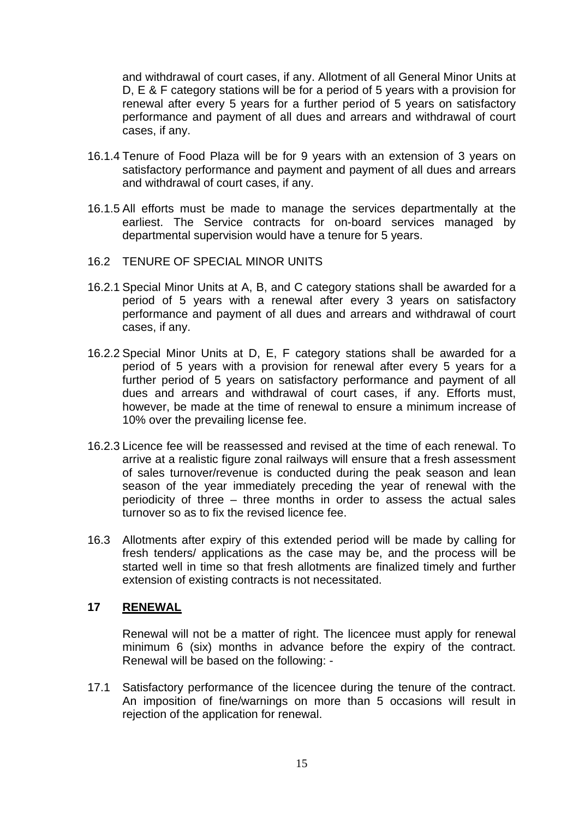and withdrawal of court cases, if any. Allotment of all General Minor Units at D, E & F category stations will be for a period of 5 years with a provision for renewal after every 5 years for a further period of 5 years on satisfactory performance and payment of all dues and arrears and withdrawal of court cases, if any.

- 16.1.4 Tenure of Food Plaza will be for 9 years with an extension of 3 years on satisfactory performance and payment and payment of all dues and arrears and withdrawal of court cases, if any.
- 16.1.5 All efforts must be made to manage the services departmentally at the earliest. The Service contracts for on-board services managed by departmental supervision would have a tenure for 5 years.
- 16.2 TENURE OF SPECIAL MINOR UNITS
- 16.2.1 Special Minor Units at A, B, and C category stations shall be awarded for a period of 5 years with a renewal after every 3 years on satisfactory performance and payment of all dues and arrears and withdrawal of court cases, if any.
- 16.2.2 Special Minor Units at D, E, F category stations shall be awarded for a period of 5 years with a provision for renewal after every 5 years for a further period of 5 years on satisfactory performance and payment of all dues and arrears and withdrawal of court cases, if any. Efforts must, however, be made at the time of renewal to ensure a minimum increase of 10% over the prevailing license fee.
- 16.2.3 Licence fee will be reassessed and revised at the time of each renewal. To arrive at a realistic figure zonal railways will ensure that a fresh assessment of sales turnover/revenue is conducted during the peak season and lean season of the year immediately preceding the year of renewal with the periodicity of three – three months in order to assess the actual sales turnover so as to fix the revised licence fee.
- 16.3 Allotments after expiry of this extended period will be made by calling for fresh tenders/ applications as the case may be, and the process will be started well in time so that fresh allotments are finalized timely and further extension of existing contracts is not necessitated.

### **17 RENEWAL**

Renewal will not be a matter of right. The licencee must apply for renewal minimum 6 (six) months in advance before the expiry of the contract. Renewal will be based on the following: -

17.1 Satisfactory performance of the licencee during the tenure of the contract. An imposition of fine/warnings on more than 5 occasions will result in rejection of the application for renewal.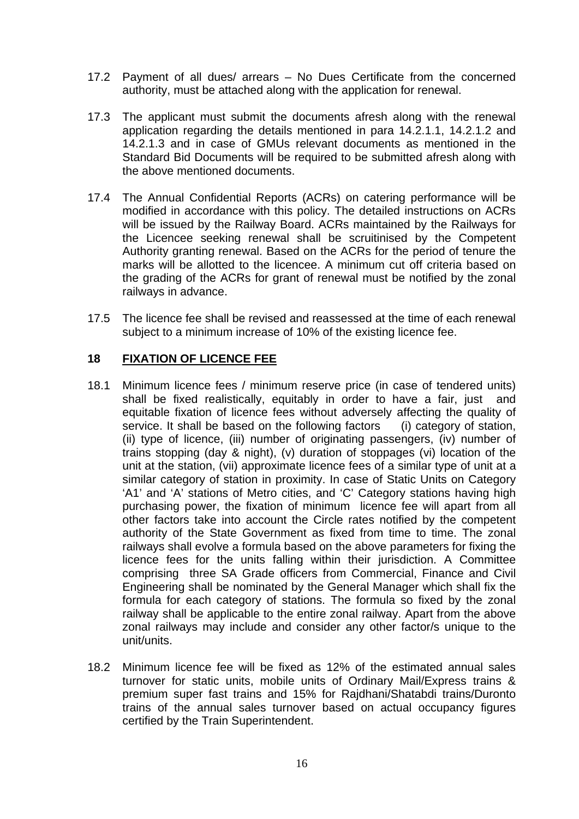- 17.2 Payment of all dues/ arrears No Dues Certificate from the concerned authority, must be attached along with the application for renewal.
- 17.3 The applicant must submit the documents afresh along with the renewal application regarding the details mentioned in para 14.2.1.1, 14.2.1.2 and 14.2.1.3 and in case of GMUs relevant documents as mentioned in the Standard Bid Documents will be required to be submitted afresh along with the above mentioned documents.
- 17.4 The Annual Confidential Reports (ACRs) on catering performance will be modified in accordance with this policy. The detailed instructions on ACRs will be issued by the Railway Board. ACRs maintained by the Railways for the Licencee seeking renewal shall be scruitinised by the Competent Authority granting renewal. Based on the ACRs for the period of tenure the marks will be allotted to the licencee. A minimum cut off criteria based on the grading of the ACRs for grant of renewal must be notified by the zonal railways in advance.
- 17.5 The licence fee shall be revised and reassessed at the time of each renewal subject to a minimum increase of 10% of the existing licence fee.

### **18 FIXATION OF LICENCE FEE**

- 18.1 Minimum licence fees / minimum reserve price (in case of tendered units) shall be fixed realistically, equitably in order to have a fair, just and equitable fixation of licence fees without adversely affecting the quality of service. It shall be based on the following factors (i) category of station, (ii) type of licence, (iii) number of originating passengers, (iv) number of trains stopping (day & night), (v) duration of stoppages (vi) location of the unit at the station, (vii) approximate licence fees of a similar type of unit at a similar category of station in proximity. In case of Static Units on Category 'A1' and 'A' stations of Metro cities, and 'C' Category stations having high purchasing power, the fixation of minimum licence fee will apart from all other factors take into account the Circle rates notified by the competent authority of the State Government as fixed from time to time. The zonal railways shall evolve a formula based on the above parameters for fixing the licence fees for the units falling within their jurisdiction. A Committee comprising three SA Grade officers from Commercial, Finance and Civil Engineering shall be nominated by the General Manager which shall fix the formula for each category of stations. The formula so fixed by the zonal railway shall be applicable to the entire zonal railway. Apart from the above zonal railways may include and consider any other factor/s unique to the unit/units.
- 18.2 Minimum licence fee will be fixed as 12% of the estimated annual sales turnover for static units, mobile units of Ordinary Mail/Express trains & premium super fast trains and 15% for Rajdhani/Shatabdi trains/Duronto trains of the annual sales turnover based on actual occupancy figures certified by the Train Superintendent.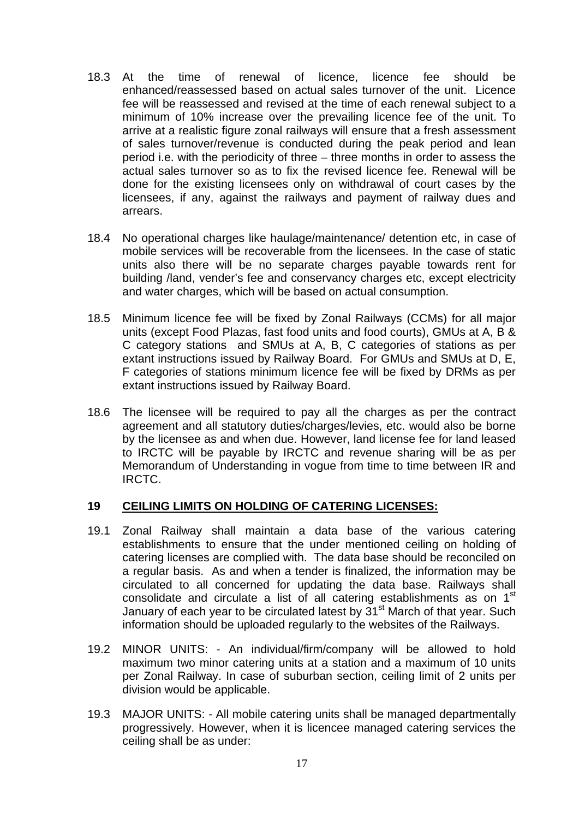- 18.3 At the time of renewal of licence, licence fee should be enhanced/reassessed based on actual sales turnover of the unit. Licence fee will be reassessed and revised at the time of each renewal subject to a minimum of 10% increase over the prevailing licence fee of the unit. To arrive at a realistic figure zonal railways will ensure that a fresh assessment of sales turnover/revenue is conducted during the peak period and lean period i.e. with the periodicity of three – three months in order to assess the actual sales turnover so as to fix the revised licence fee. Renewal will be done for the existing licensees only on withdrawal of court cases by the licensees, if any, against the railways and payment of railway dues and arrears.
- 18.4 No operational charges like haulage/maintenance/ detention etc, in case of mobile services will be recoverable from the licensees. In the case of static units also there will be no separate charges payable towards rent for building /land, vender's fee and conservancy charges etc, except electricity and water charges, which will be based on actual consumption.
- 18.5 Minimum licence fee will be fixed by Zonal Railways (CCMs) for all major units (except Food Plazas, fast food units and food courts), GMUs at A, B & C category stations and SMUs at A, B, C categories of stations as per extant instructions issued by Railway Board. For GMUs and SMUs at D, E, F categories of stations minimum licence fee will be fixed by DRMs as per extant instructions issued by Railway Board.
- 18.6 The licensee will be required to pay all the charges as per the contract agreement and all statutory duties/charges/levies, etc. would also be borne by the licensee as and when due. However, land license fee for land leased to IRCTC will be payable by IRCTC and revenue sharing will be as per Memorandum of Understanding in vogue from time to time between IR and IRCTC.

### **19 CEILING LIMITS ON HOLDING OF CATERING LICENSES:**

- 19.1 Zonal Railway shall maintain a data base of the various catering establishments to ensure that the under mentioned ceiling on holding of catering licenses are complied with. The data base should be reconciled on a regular basis. As and when a tender is finalized, the information may be circulated to all concerned for updating the data base. Railways shall consolidate and circulate a list of all catering establishments as on 1<sup>st</sup> January of each year to be circulated latest by 31<sup>st</sup> March of that year. Such information should be uploaded regularly to the websites of the Railways.
- 19.2 MINOR UNITS: An individual/firm/company will be allowed to hold maximum two minor catering units at a station and a maximum of 10 units per Zonal Railway. In case of suburban section, ceiling limit of 2 units per division would be applicable.
- 19.3 MAJOR UNITS: All mobile catering units shall be managed departmentally progressively. However, when it is licencee managed catering services the ceiling shall be as under: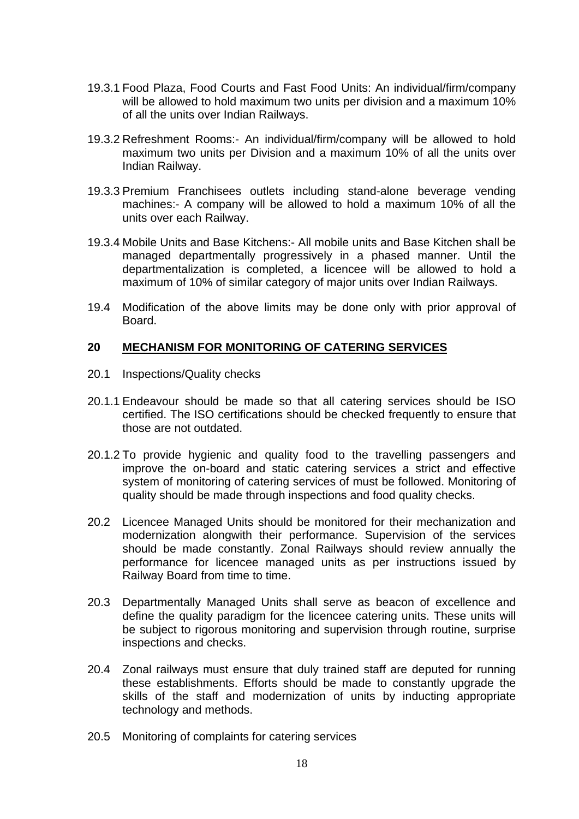- 19.3.1 Food Plaza, Food Courts and Fast Food Units: An individual/firm/company will be allowed to hold maximum two units per division and a maximum 10% of all the units over Indian Railways.
- 19.3.2 Refreshment Rooms:- An individual/firm/company will be allowed to hold maximum two units per Division and a maximum 10% of all the units over Indian Railway.
- 19.3.3 Premium Franchisees outlets including stand-alone beverage vending machines:- A company will be allowed to hold a maximum 10% of all the units over each Railway.
- 19.3.4 Mobile Units and Base Kitchens:- All mobile units and Base Kitchen shall be managed departmentally progressively in a phased manner. Until the departmentalization is completed, a licencee will be allowed to hold a maximum of 10% of similar category of major units over Indian Railways.
- 19.4 Modification of the above limits may be done only with prior approval of Board.

#### **20 MECHANISM FOR MONITORING OF CATERING SERVICES**

- 20.1 Inspections/Quality checks
- 20.1.1 Endeavour should be made so that all catering services should be ISO certified. The ISO certifications should be checked frequently to ensure that those are not outdated.
- 20.1.2 To provide hygienic and quality food to the travelling passengers and improve the on-board and static catering services a strict and effective system of monitoring of catering services of must be followed. Monitoring of quality should be made through inspections and food quality checks.
- 20.2 Licencee Managed Units should be monitored for their mechanization and modernization alongwith their performance. Supervision of the services should be made constantly. Zonal Railways should review annually the performance for licencee managed units as per instructions issued by Railway Board from time to time.
- 20.3 Departmentally Managed Units shall serve as beacon of excellence and define the quality paradigm for the licencee catering units. These units will be subject to rigorous monitoring and supervision through routine, surprise inspections and checks.
- 20.4 Zonal railways must ensure that duly trained staff are deputed for running these establishments. Efforts should be made to constantly upgrade the skills of the staff and modernization of units by inducting appropriate technology and methods.
- 20.5 Monitoring of complaints for catering services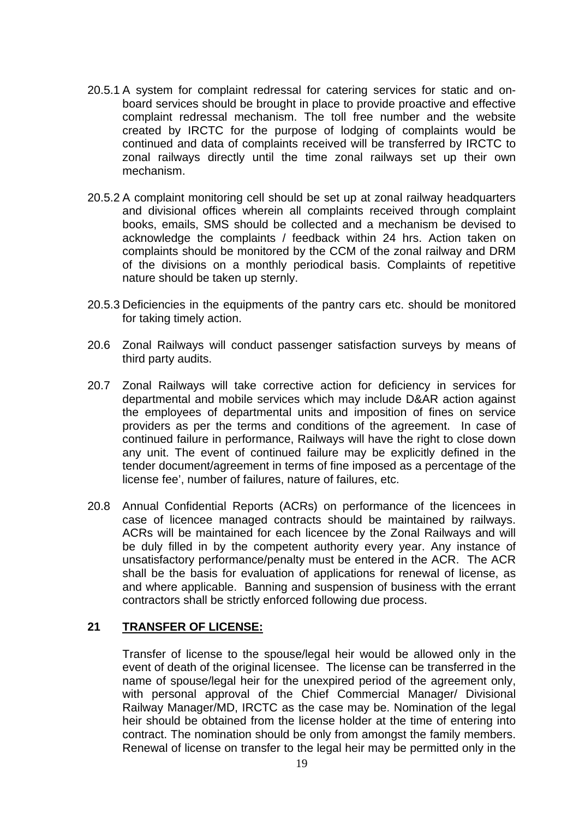- 20.5.1 A system for complaint redressal for catering services for static and onboard services should be brought in place to provide proactive and effective complaint redressal mechanism. The toll free number and the website created by IRCTC for the purpose of lodging of complaints would be continued and data of complaints received will be transferred by IRCTC to zonal railways directly until the time zonal railways set up their own mechanism.
- 20.5.2 A complaint monitoring cell should be set up at zonal railway headquarters and divisional offices wherein all complaints received through complaint books, emails, SMS should be collected and a mechanism be devised to acknowledge the complaints / feedback within 24 hrs. Action taken on complaints should be monitored by the CCM of the zonal railway and DRM of the divisions on a monthly periodical basis. Complaints of repetitive nature should be taken up sternly.
- 20.5.3 Deficiencies in the equipments of the pantry cars etc. should be monitored for taking timely action.
- 20.6 Zonal Railways will conduct passenger satisfaction surveys by means of third party audits.
- 20.7 Zonal Railways will take corrective action for deficiency in services for departmental and mobile services which may include D&AR action against the employees of departmental units and imposition of fines on service providers as per the terms and conditions of the agreement. In case of continued failure in performance, Railways will have the right to close down any unit. The event of continued failure may be explicitly defined in the tender document/agreement in terms of fine imposed as a percentage of the license fee', number of failures, nature of failures, etc.
- 20.8 Annual Confidential Reports (ACRs) on performance of the licencees in case of licencee managed contracts should be maintained by railways. ACRs will be maintained for each licencee by the Zonal Railways and will be duly filled in by the competent authority every year. Any instance of unsatisfactory performance/penalty must be entered in the ACR. The ACR shall be the basis for evaluation of applications for renewal of license, as and where applicable. Banning and suspension of business with the errant contractors shall be strictly enforced following due process.

### **21 TRANSFER OF LICENSE:**

Transfer of license to the spouse/legal heir would be allowed only in the event of death of the original licensee. The license can be transferred in the name of spouse/legal heir for the unexpired period of the agreement only, with personal approval of the Chief Commercial Manager/ Divisional Railway Manager/MD, IRCTC as the case may be. Nomination of the legal heir should be obtained from the license holder at the time of entering into contract. The nomination should be only from amongst the family members. Renewal of license on transfer to the legal heir may be permitted only in the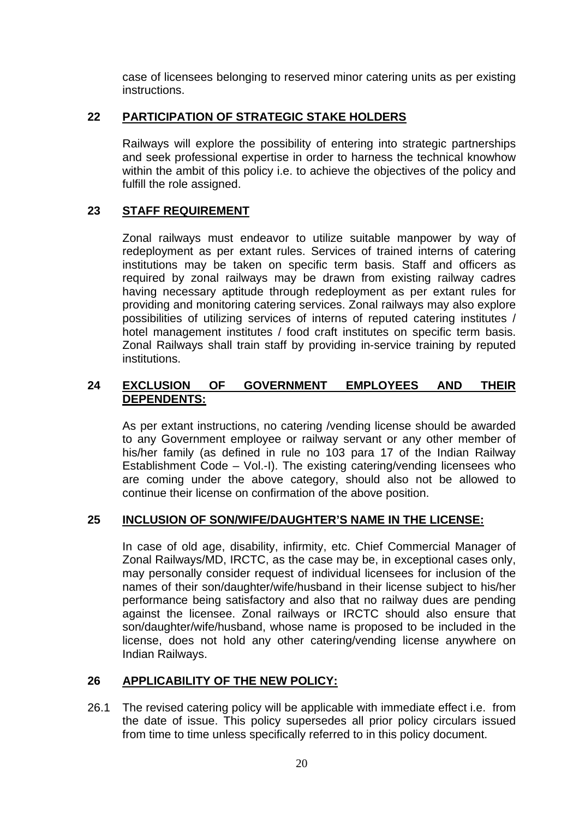case of licensees belonging to reserved minor catering units as per existing instructions.

## **22 PARTICIPATION OF STRATEGIC STAKE HOLDERS**

Railways will explore the possibility of entering into strategic partnerships and seek professional expertise in order to harness the technical knowhow within the ambit of this policy i.e. to achieve the objectives of the policy and fulfill the role assigned.

## **23 STAFF REQUIREMENT**

Zonal railways must endeavor to utilize suitable manpower by way of redeployment as per extant rules. Services of trained interns of catering institutions may be taken on specific term basis. Staff and officers as required by zonal railways may be drawn from existing railway cadres having necessary aptitude through redeployment as per extant rules for providing and monitoring catering services. Zonal railways may also explore possibilities of utilizing services of interns of reputed catering institutes / hotel management institutes / food craft institutes on specific term basis. Zonal Railways shall train staff by providing in-service training by reputed institutions.

## **24 EXCLUSION OF GOVERNMENT EMPLOYEES AND THEIR DEPENDENTS:**

As per extant instructions, no catering /vending license should be awarded to any Government employee or railway servant or any other member of his/her family (as defined in rule no 103 para 17 of the Indian Railway Establishment Code – Vol.-I). The existing catering/vending licensees who are coming under the above category, should also not be allowed to continue their license on confirmation of the above position.

### **25 INCLUSION OF SON/WIFE/DAUGHTER'S NAME IN THE LICENSE:**

In case of old age, disability, infirmity, etc. Chief Commercial Manager of Zonal Railways/MD, IRCTC, as the case may be, in exceptional cases only, may personally consider request of individual licensees for inclusion of the names of their son/daughter/wife/husband in their license subject to his/her performance being satisfactory and also that no railway dues are pending against the licensee. Zonal railways or IRCTC should also ensure that son/daughter/wife/husband, whose name is proposed to be included in the license, does not hold any other catering/vending license anywhere on Indian Railways.

### **26 APPLICABILITY OF THE NEW POLICY:**

26.1 The revised catering policy will be applicable with immediate effect i.e. from the date of issue. This policy supersedes all prior policy circulars issued from time to time unless specifically referred to in this policy document.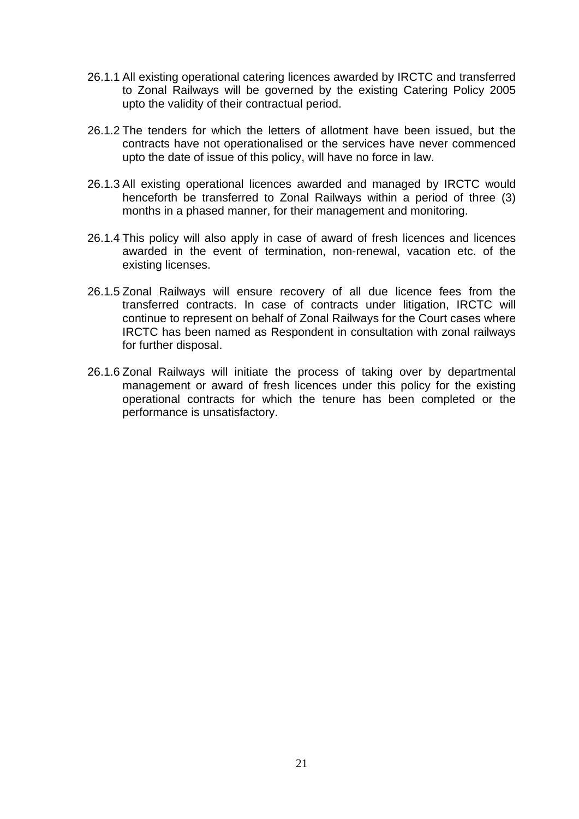- 26.1.1 All existing operational catering licences awarded by IRCTC and transferred to Zonal Railways will be governed by the existing Catering Policy 2005 upto the validity of their contractual period.
- 26.1.2 The tenders for which the letters of allotment have been issued, but the contracts have not operationalised or the services have never commenced upto the date of issue of this policy, will have no force in law.
- 26.1.3 All existing operational licences awarded and managed by IRCTC would henceforth be transferred to Zonal Railways within a period of three (3) months in a phased manner, for their management and monitoring.
- 26.1.4 This policy will also apply in case of award of fresh licences and licences awarded in the event of termination, non-renewal, vacation etc. of the existing licenses.
- 26.1.5 Zonal Railways will ensure recovery of all due licence fees from the transferred contracts. In case of contracts under litigation, IRCTC will continue to represent on behalf of Zonal Railways for the Court cases where IRCTC has been named as Respondent in consultation with zonal railways for further disposal.
- 26.1.6 Zonal Railways will initiate the process of taking over by departmental management or award of fresh licences under this policy for the existing operational contracts for which the tenure has been completed or the performance is unsatisfactory.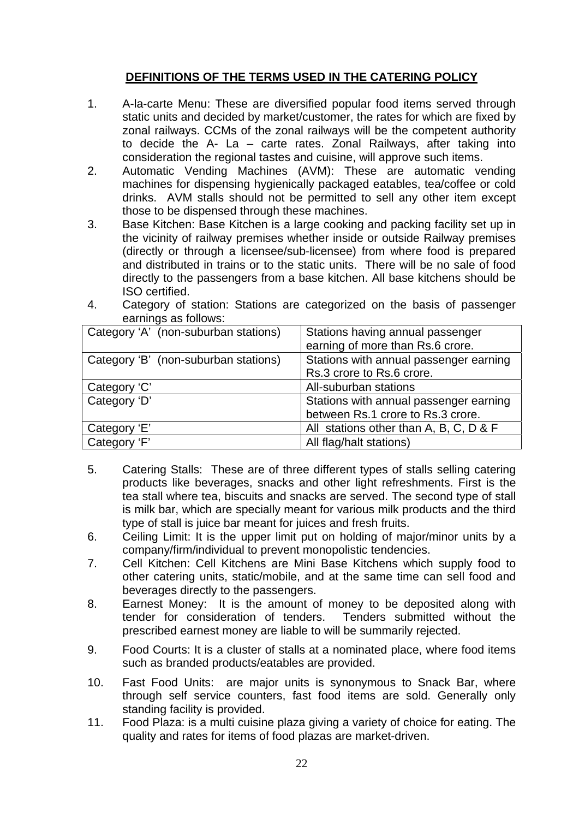# **DEFINITIONS OF THE TERMS USED IN THE CATERING POLICY**

- 1. A-la-carte Menu: These are diversified popular food items served through static units and decided by market/customer, the rates for which are fixed by zonal railways. CCMs of the zonal railways will be the competent authority to decide the A- La – carte rates. Zonal Railways, after taking into consideration the regional tastes and cuisine, will approve such items.
- 2. Automatic Vending Machines (AVM): These are automatic vending machines for dispensing hygienically packaged eatables, tea/coffee or cold drinks. AVM stalls should not be permitted to sell any other item except those to be dispensed through these machines.
- 3. Base Kitchen: Base Kitchen is a large cooking and packing facility set up in the vicinity of railway premises whether inside or outside Railway premises (directly or through a licensee/sub-licensee) from where food is prepared and distributed in trains or to the static units. There will be no sale of food directly to the passengers from a base kitchen. All base kitchens should be ISO certified.

| earnings as follows:                 |                                        |
|--------------------------------------|----------------------------------------|
| Category 'A' (non-suburban stations) | Stations having annual passenger       |
|                                      | earning of more than Rs.6 crore.       |
| Category 'B' (non-suburban stations) | Stations with annual passenger earning |
|                                      | Rs.3 crore to Rs.6 crore.              |

Category 'D' Stations with annual passenger earning

Category 'E' All stations other than A, B, C, D & F

between Rs.1 crore to Rs.3 crore.

Category 'C' All-suburban stations

Category 'F' All flag/halt stations)

4. Category of station: Stations are categorized on the basis of passenger

- 5. Catering Stalls: These are of three different types of stalls selling catering products like beverages, snacks and other light refreshments. First is the tea stall where tea, biscuits and snacks are served. The second type of stall is milk bar, which are specially meant for various milk products and the third type of stall is juice bar meant for juices and fresh fruits.
- 6. Ceiling Limit: It is the upper limit put on holding of major/minor units by a company/firm/individual to prevent monopolistic tendencies.
- 7. Cell Kitchen: Cell Kitchens are Mini Base Kitchens which supply food to other catering units, static/mobile, and at the same time can sell food and beverages directly to the passengers.
- 8. Earnest Money: It is the amount of money to be deposited along with tender for consideration of tenders. Tenders submitted without the prescribed earnest money are liable to will be summarily rejected.
- 9. Food Courts: It is a cluster of stalls at a nominated place, where food items such as branded products/eatables are provided.
- 10. Fast Food Units: are major units is synonymous to Snack Bar, where through self service counters, fast food items are sold. Generally only standing facility is provided.
- 11. Food Plaza: is a multi cuisine plaza giving a variety of choice for eating. The quality and rates for items of food plazas are market-driven.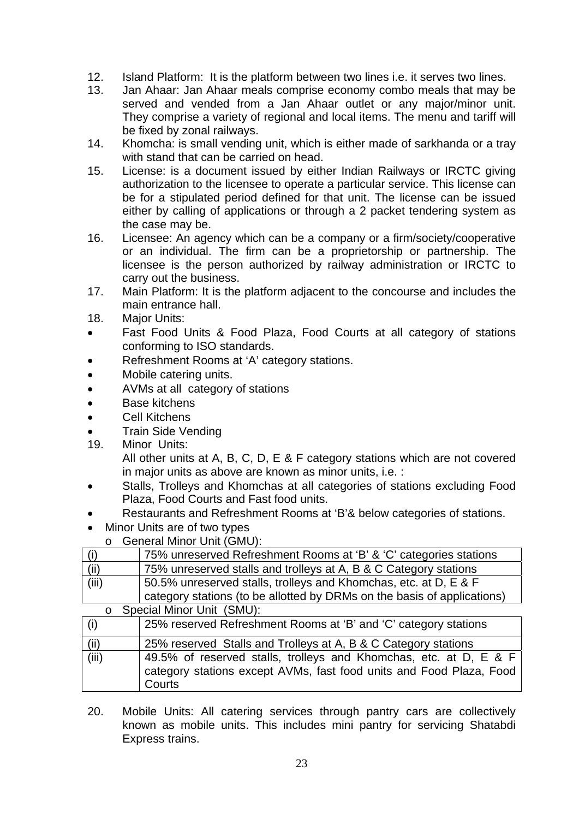- 12. Island Platform: It is the platform between two lines i.e. it serves two lines.
- 13. Jan Ahaar: Jan Ahaar meals comprise economy combo meals that may be served and vended from a Jan Ahaar outlet or any major/minor unit. They comprise a variety of regional and local items. The menu and tariff will be fixed by zonal railways.
- 14. Khomcha: is small vending unit, which is either made of sarkhanda or a tray with stand that can be carried on head.
- 15. License: is a document issued by either Indian Railways or IRCTC giving authorization to the licensee to operate a particular service. This license can be for a stipulated period defined for that unit. The license can be issued either by calling of applications or through a 2 packet tendering system as the case may be.
- 16. Licensee: An agency which can be a company or a firm/society/cooperative or an individual. The firm can be a proprietorship or partnership. The licensee is the person authorized by railway administration or IRCTC to carry out the business.
- 17. Main Platform: It is the platform adjacent to the concourse and includes the main entrance hall.
- 18. Major Units:
- Fast Food Units & Food Plaza, Food Courts at all category of stations conforming to ISO standards.
- Refreshment Rooms at 'A' category stations.
- Mobile catering units.
- AVMs at all category of stations
- Base kitchens
- Cell Kitchens
- Train Side Vending
- 19. Minor Units:

All other units at A, B, C, D, E & F category stations which are not covered in major units as above are known as minor units, i.e. :

- Stalls, Trolleys and Khomchas at all categories of stations excluding Food Plaza, Food Courts and Fast food units.
- Restaurants and Refreshment Rooms at 'B'& below categories of stations.
- Minor Units are of two types
- o General Minor Unit (GMU):

|                                      | 75% unreserved Refreshment Rooms at 'B' & 'C' categories stations                                                                                                                                                                                                                                                                                                                    |  |
|--------------------------------------|--------------------------------------------------------------------------------------------------------------------------------------------------------------------------------------------------------------------------------------------------------------------------------------------------------------------------------------------------------------------------------------|--|
| (ii)                                 | 75% unreserved stalls and trolleys at A, B & C Category stations                                                                                                                                                                                                                                                                                                                     |  |
| (iii)                                | 50.5% unreserved stalls, trolleys and Khomchas, etc. at D, E & F                                                                                                                                                                                                                                                                                                                     |  |
|                                      | category stations (to be allotted by DRMs on the basis of applications)                                                                                                                                                                                                                                                                                                              |  |
| Special Minor Unit (SMU):<br>$\circ$ |                                                                                                                                                                                                                                                                                                                                                                                      |  |
| (i)                                  | 25% reserved Refreshment Rooms at 'B' and 'C' category stations                                                                                                                                                                                                                                                                                                                      |  |
| $\cdots$                             | $\overline{O}$ $\overline{O}$ $\overline{O}$ $\overline{O}$ $\overline{O}$ $\overline{O}$ $\overline{O}$ $\overline{O}$ $\overline{O}$ $\overline{O}$ $\overline{O}$ $\overline{O}$ $\overline{O}$ $\overline{O}$ $\overline{O}$ $\overline{O}$ $\overline{O}$ $\overline{O}$ $\overline{O}$ $\overline{O}$ $\overline{O}$ $\overline{O}$ $\overline{O}$ $\overline{O}$ $\overline{$ |  |

| (ii)  | 25% reserved Stalls and Trolleys at A, B & C Category stations      |
|-------|---------------------------------------------------------------------|
| (iii) | 49.5% of reserved stalls, trolleys and Khomchas, etc. at D, E & F   |
|       | category stations except AVMs, fast food units and Food Plaza, Food |
|       | Courts                                                              |

20. Mobile Units: All catering services through pantry cars are collectively known as mobile units. This includes mini pantry for servicing Shatabdi Express trains.